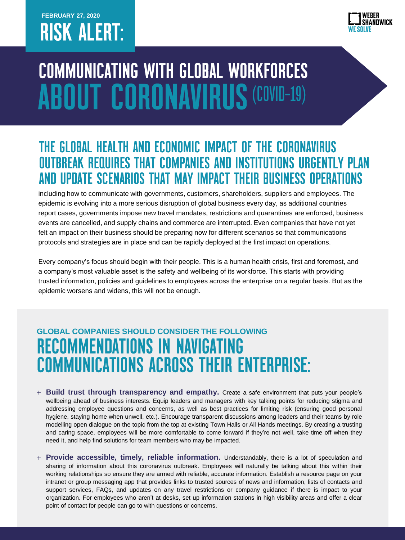## **FEBRUARY 27, 2020 RISK ALERT:**



# **COMMUNICATING WITH GLOBAL WORKFORCES ABOUT CORONAVIRUS (COVID-19)**

#### THE GLOBAL HEALTH AND ECONOMIC IMPACT OF THE CORONAVIRUS **OUTBREAK REQUIRES THAT COMPANIES AND INSTITUTIONS URGENTLY PLAN** AND UPDATE SCENARIOS THAT MAY IMPACT THEIR BUSINESS OPERATIONS

including how to communicate with governments, customers, shareholders, suppliers and employees. The epidemic is evolving into a more serious disruption of global business every day, as additional countries report cases, governments impose new travel mandates, restrictions and quarantines are enforced, business events are cancelled, and supply chains and commerce are interrupted. Even companies that have not yet felt an impact on their business should be preparing now for different scenarios so that communications protocols and strategies are in place and can be rapidly deployed at the first impact on operations.

Every company's focus should begin with their people. This is a human health crisis, first and foremost, and a company's most valuable asset is the safety and wellbeing of its workforce. This starts with providing trusted information, policies and guidelines to employees across the enterprise on a regular basis. But as the epidemic worsens and widens, this will not be enough.

### **GLOBAL COMPANIES SHOULD CONSIDER THE FOLLOWING RECOMMENDATIONS IN NAVIGATING COMMUNICATIONS ACROSS THEIR ENTERPRISE:**

- + **Build trust through transparency and empathy.** Create a safe environment that puts your people's wellbeing ahead of business interests. Equip leaders and managers with key talking points for reducing stigma and addressing employee questions and concerns, as well as best practices for limiting risk (ensuring good personal hygiene, staying home when unwell, etc.). Encourage transparent discussions among leaders and their teams by role modelling open dialogue on the topic from the top at existing Town Halls or All Hands meetings. By creating a trusting and caring space, employees will be more comfortable to come forward if they're not well, take time off when they need it, and help find solutions for team members who may be impacted.
- + **Provide accessible, timely, reliable information.** Understandably, there is a lot of speculation and sharing of information about this coronavirus outbreak. Employees will naturally be talking about this within their working relationships so ensure they are armed with reliable, accurate information. Establish a resource page on your intranet or group messaging app that provides links to trusted sources of news and information, lists of contacts and support services, FAQs, and updates on any travel restrictions or company guidance if there is impact to your organization. For employees who aren't at desks, set up information stations in high visibility areas and offer a clear point of contact for people can go to with questions or concerns.